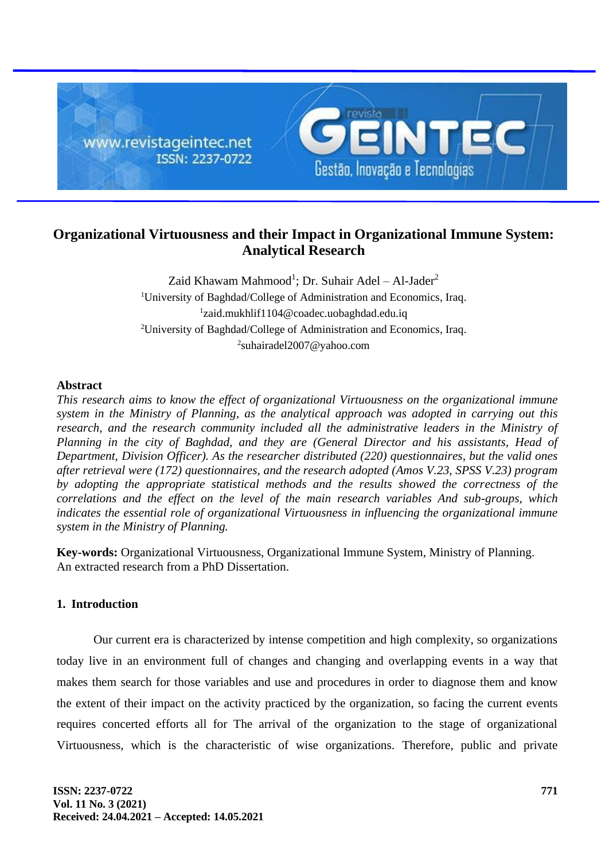

# **Organizational Virtuousness and their Impact in Organizational Immune System: Analytical Research**

Zaid Khawam Mahmood<sup>1</sup>; Dr. Suhair Adel – Al-Jader<sup>2</sup> University of Baghdad/College of Administration and Economics, Iraq. zaid.mukhlif1104@coadec.uobaghdad.edu.iq University of Baghdad/College of Administration and Economics, Iraq. suhairadel2007@yahoo.com

### **Abstract**

*This research aims to know the effect of organizational Virtuousness on the organizational immune system in the Ministry of Planning, as the analytical approach was adopted in carrying out this research, and the research community included all the administrative leaders in the Ministry of Planning in the city of Baghdad, and they are (General Director and his assistants, Head of Department, Division Officer). As the researcher distributed (220) questionnaires, but the valid ones after retrieval were (172) questionnaires, and the research adopted (Amos V.23, SPSS V.23) program by adopting the appropriate statistical methods and the results showed the correctness of the correlations and the effect on the level of the main research variables And sub-groups, which indicates the essential role of organizational Virtuousness in influencing the organizational immune system in the Ministry of Planning.*

**Key-words:** Organizational Virtuousness, Organizational Immune System, Ministry of Planning. An extracted research from a PhD Dissertation.

## **1. Introduction**

Our current era is characterized by intense competition and high complexity, so organizations today live in an environment full of changes and changing and overlapping events in a way that makes them search for those variables and use and procedures in order to diagnose them and know the extent of their impact on the activity practiced by the organization, so facing the current events requires concerted efforts all for The arrival of the organization to the stage of organizational Virtuousness, which is the characteristic of wise organizations. Therefore, public and private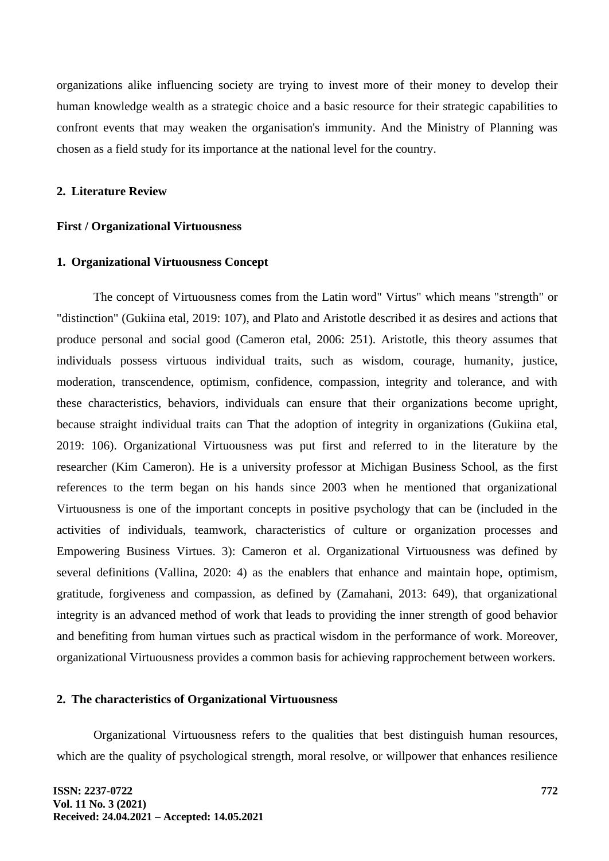organizations alike influencing society are trying to invest more of their money to develop their human knowledge wealth as a strategic choice and a basic resource for their strategic capabilities to confront events that may weaken the organisation's immunity. And the Ministry of Planning was chosen as a field study for its importance at the national level for the country.

#### **2. Literature Review**

#### **First / Organizational Virtuousness**

#### **1. Organizational Virtuousness Concept**

The concept of Virtuousness comes from the Latin word" Virtus" which means "strength" or "distinction" (Gukiina etal, 2019: 107), and Plato and Aristotle described it as desires and actions that produce personal and social good (Cameron etal, 2006: 251). Aristotle, this theory assumes that individuals possess virtuous individual traits, such as wisdom, courage, humanity, justice, moderation, transcendence, optimism, confidence, compassion, integrity and tolerance, and with these characteristics, behaviors, individuals can ensure that their organizations become upright, because straight individual traits can That the adoption of integrity in organizations (Gukiina etal, 2019: 106). Organizational Virtuousness was put first and referred to in the literature by the researcher (Kim Cameron). He is a university professor at Michigan Business School, as the first references to the term began on his hands since 2003 when he mentioned that organizational Virtuousness is one of the important concepts in positive psychology that can be (included in the activities of individuals, teamwork, characteristics of culture or organization processes and Empowering Business Virtues. 3): Cameron et al. Organizational Virtuousness was defined by several definitions (Vallina, 2020: 4) as the enablers that enhance and maintain hope, optimism, gratitude, forgiveness and compassion, as defined by (Zamahani, 2013: 649), that organizational integrity is an advanced method of work that leads to providing the inner strength of good behavior and benefiting from human virtues such as practical wisdom in the performance of work. Moreover, organizational Virtuousness provides a common basis for achieving rapprochement between workers.

#### **2. The characteristics of Organizational Virtuousness**

Organizational Virtuousness refers to the qualities that best distinguish human resources, which are the quality of psychological strength, moral resolve, or willpower that enhances resilience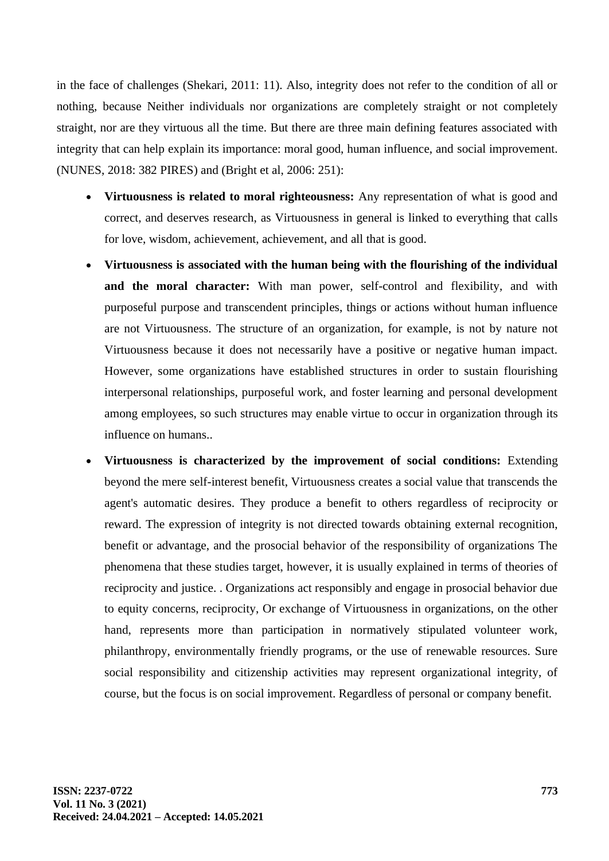in the face of challenges (Shekari, 2011: 11). Also, integrity does not refer to the condition of all or nothing, because Neither individuals nor organizations are completely straight or not completely straight, nor are they virtuous all the time. But there are three main defining features associated with integrity that can help explain its importance: moral good, human influence, and social improvement. (NUNES, 2018: 382 PIRES) and (Bright et al, 2006: 251):

- **Virtuousness is related to moral righteousness:** Any representation of what is good and correct, and deserves research, as Virtuousness in general is linked to everything that calls for love, wisdom, achievement, achievement, and all that is good.
- **Virtuousness is associated with the human being with the flourishing of the individual and the moral character:** With man power, self-control and flexibility, and with purposeful purpose and transcendent principles, things or actions without human influence are not Virtuousness. The structure of an organization, for example, is not by nature not Virtuousness because it does not necessarily have a positive or negative human impact. However, some organizations have established structures in order to sustain flourishing interpersonal relationships, purposeful work, and foster learning and personal development among employees, so such structures may enable virtue to occur in organization through its influence on humans..
- **Virtuousness is characterized by the improvement of social conditions:** Extending beyond the mere self-interest benefit, Virtuousness creates a social value that transcends the agent's automatic desires. They produce a benefit to others regardless of reciprocity or reward. The expression of integrity is not directed towards obtaining external recognition, benefit or advantage, and the prosocial behavior of the responsibility of organizations The phenomena that these studies target, however, it is usually explained in terms of theories of reciprocity and justice. . Organizations act responsibly and engage in prosocial behavior due to equity concerns, reciprocity, Or exchange of Virtuousness in organizations, on the other hand, represents more than participation in normatively stipulated volunteer work, philanthropy, environmentally friendly programs, or the use of renewable resources. Sure social responsibility and citizenship activities may represent organizational integrity, of course, but the focus is on social improvement. Regardless of personal or company benefit.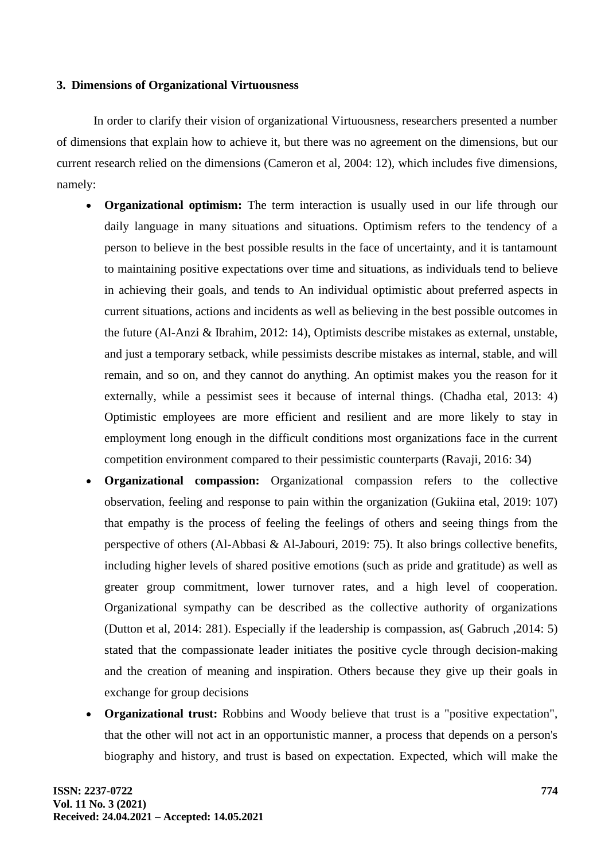### **3. Dimensions of Organizational Virtuousness**

In order to clarify their vision of organizational Virtuousness, researchers presented a number of dimensions that explain how to achieve it, but there was no agreement on the dimensions, but our current research relied on the dimensions (Cameron et al, 2004: 12), which includes five dimensions, namely:

- **Organizational optimism:** The term interaction is usually used in our life through our daily language in many situations and situations. Optimism refers to the tendency of a person to believe in the best possible results in the face of uncertainty, and it is tantamount to maintaining positive expectations over time and situations, as individuals tend to believe in achieving their goals, and tends to An individual optimistic about preferred aspects in current situations, actions and incidents as well as believing in the best possible outcomes in the future (Al-Anzi & Ibrahim, 2012: 14), Optimists describe mistakes as external, unstable, and just a temporary setback, while pessimists describe mistakes as internal, stable, and will remain, and so on, and they cannot do anything. An optimist makes you the reason for it externally, while a pessimist sees it because of internal things. (Chadha etal, 2013: 4) Optimistic employees are more efficient and resilient and are more likely to stay in employment long enough in the difficult conditions most organizations face in the current competition environment compared to their pessimistic counterparts (Ravaji, 2016: 34)
- **Organizational compassion:** Organizational compassion refers to the collective observation, feeling and response to pain within the organization (Gukiina etal, 2019: 107) that empathy is the process of feeling the feelings of others and seeing things from the perspective of others (Al-Abbasi & Al-Jabouri, 2019: 75). It also brings collective benefits, including higher levels of shared positive emotions (such as pride and gratitude) as well as greater group commitment, lower turnover rates, and a high level of cooperation. Organizational sympathy can be described as the collective authority of organizations (Dutton et al, 2014: 281). Especially if the leadership is compassion, as( Gabruch ,2014: 5) stated that the compassionate leader initiates the positive cycle through decision-making and the creation of meaning and inspiration. Others because they give up their goals in exchange for group decisions
- **Organizational trust:** Robbins and Woody believe that trust is a "positive expectation", that the other will not act in an opportunistic manner, a process that depends on a person's biography and history, and trust is based on expectation. Expected, which will make the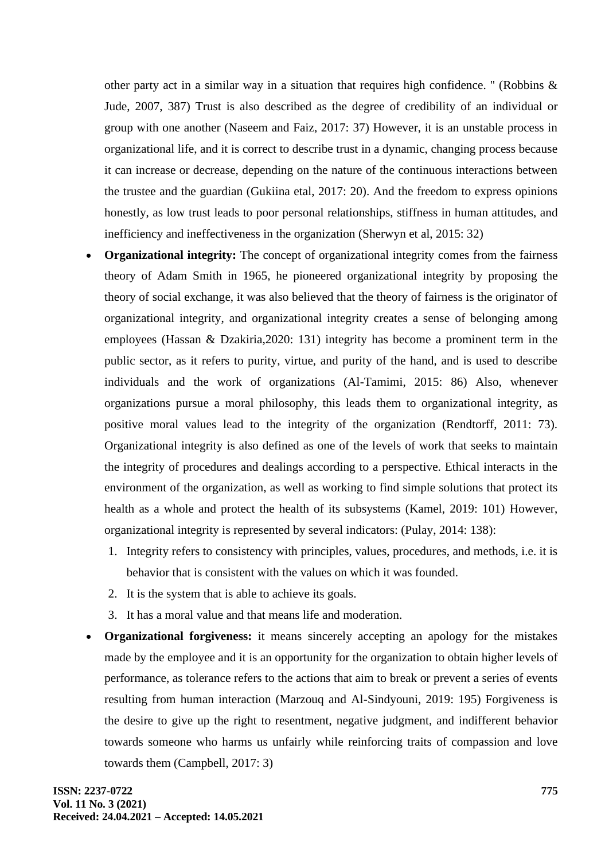other party act in a similar way in a situation that requires high confidence. " (Robbins  $\&$ Jude, 2007, 387) Trust is also described as the degree of credibility of an individual or group with one another (Naseem and Faiz, 2017: 37) However, it is an unstable process in organizational life, and it is correct to describe trust in a dynamic, changing process because it can increase or decrease, depending on the nature of the continuous interactions between the trustee and the guardian (Gukiina etal, 2017: 20). And the freedom to express opinions honestly, as low trust leads to poor personal relationships, stiffness in human attitudes, and inefficiency and ineffectiveness in the organization (Sherwyn et al, 2015: 32)

- **Organizational integrity:** The concept of organizational integrity comes from the fairness theory of Adam Smith in 1965, he pioneered organizational integrity by proposing the theory of social exchange, it was also believed that the theory of fairness is the originator of organizational integrity, and organizational integrity creates a sense of belonging among employees (Hassan & Dzakiria,2020: 131) integrity has become a prominent term in the public sector, as it refers to purity, virtue, and purity of the hand, and is used to describe individuals and the work of organizations (Al-Tamimi, 2015: 86) Also, whenever organizations pursue a moral philosophy, this leads them to organizational integrity, as positive moral values lead to the integrity of the organization (Rendtorff, 2011: 73). Organizational integrity is also defined as one of the levels of work that seeks to maintain the integrity of procedures and dealings according to a perspective. Ethical interacts in the environment of the organization, as well as working to find simple solutions that protect its health as a whole and protect the health of its subsystems (Kamel, 2019: 101) However, organizational integrity is represented by several indicators: (Pulay, 2014: 138):
	- 1. Integrity refers to consistency with principles, values, procedures, and methods, i.e. it is behavior that is consistent with the values on which it was founded.
	- 2. It is the system that is able to achieve its goals.
	- 3. It has a moral value and that means life and moderation.
- **Organizational forgiveness:** it means sincerely accepting an apology for the mistakes made by the employee and it is an opportunity for the organization to obtain higher levels of performance, as tolerance refers to the actions that aim to break or prevent a series of events resulting from human interaction (Marzouq and Al-Sindyouni, 2019: 195) Forgiveness is the desire to give up the right to resentment, negative judgment, and indifferent behavior towards someone who harms us unfairly while reinforcing traits of compassion and love towards them (Campbell, 2017: 3)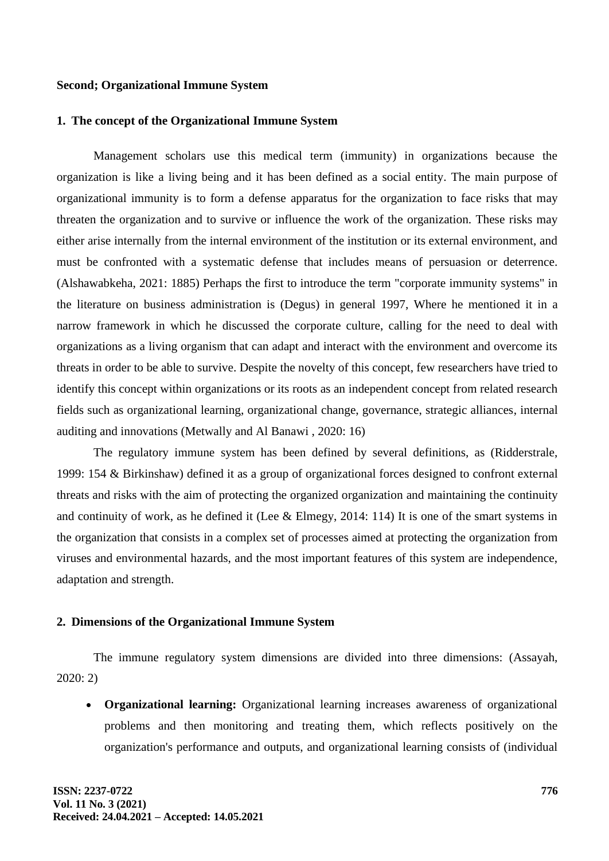#### **Second; Organizational Immune System**

#### **1. The concept of the Organizational Immune System**

Management scholars use this medical term (immunity) in organizations because the organization is like a living being and it has been defined as a social entity. The main purpose of organizational immunity is to form a defense apparatus for the organization to face risks that may threaten the organization and to survive or influence the work of the organization. These risks may either arise internally from the internal environment of the institution or its external environment, and must be confronted with a systematic defense that includes means of persuasion or deterrence. (Alshawabkeha, 2021: 1885) Perhaps the first to introduce the term "corporate immunity systems" in the literature on business administration is (Degus) in general 1997, Where he mentioned it in a narrow framework in which he discussed the corporate culture, calling for the need to deal with organizations as a living organism that can adapt and interact with the environment and overcome its threats in order to be able to survive. Despite the novelty of this concept, few researchers have tried to identify this concept within organizations or its roots as an independent concept from related research fields such as organizational learning, organizational change, governance, strategic alliances, internal auditing and innovations (Metwally and Al Banawi , 2020: 16)

The regulatory immune system has been defined by several definitions, as (Ridderstrale, 1999: 154 & Birkinshaw) defined it as a group of organizational forces designed to confront external threats and risks with the aim of protecting the organized organization and maintaining the continuity and continuity of work, as he defined it (Lee & Elmegy, 2014: 114) It is one of the smart systems in the organization that consists in a complex set of processes aimed at protecting the organization from viruses and environmental hazards, and the most important features of this system are independence, adaptation and strength.

## **2. Dimensions of the Organizational Immune System**

The immune regulatory system dimensions are divided into three dimensions: (Assayah, 2020: 2)

• **Organizational learning:** Organizational learning increases awareness of organizational problems and then monitoring and treating them, which reflects positively on the organization's performance and outputs, and organizational learning consists of (individual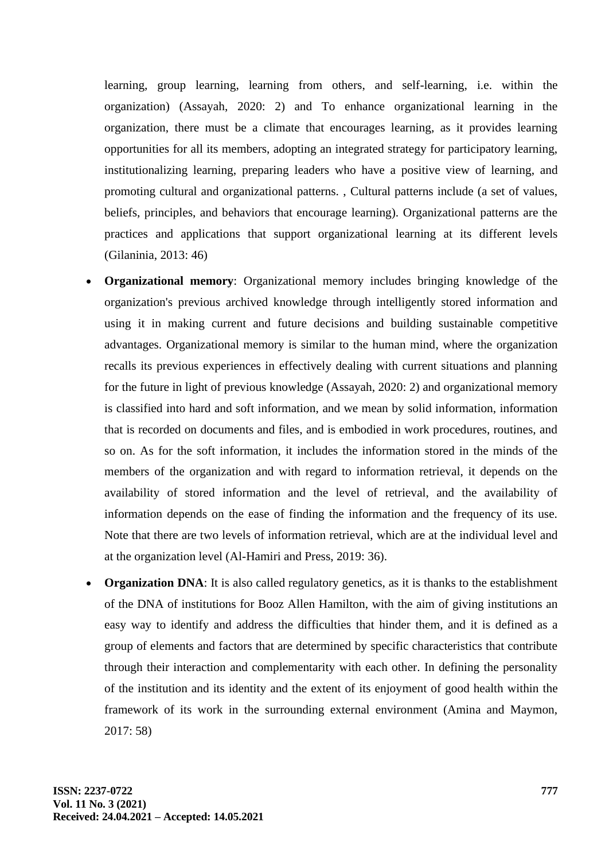learning, group learning, learning from others, and self-learning, i.e. within the organization) (Assayah, 2020: 2) and To enhance organizational learning in the organization, there must be a climate that encourages learning, as it provides learning opportunities for all its members, adopting an integrated strategy for participatory learning, institutionalizing learning, preparing leaders who have a positive view of learning, and promoting cultural and organizational patterns. , Cultural patterns include (a set of values, beliefs, principles, and behaviors that encourage learning). Organizational patterns are the practices and applications that support organizational learning at its different levels (Gilaninia, 2013: 46)

- **Organizational memory**: Organizational memory includes bringing knowledge of the organization's previous archived knowledge through intelligently stored information and using it in making current and future decisions and building sustainable competitive advantages. Organizational memory is similar to the human mind, where the organization recalls its previous experiences in effectively dealing with current situations and planning for the future in light of previous knowledge (Assayah, 2020: 2) and organizational memory is classified into hard and soft information, and we mean by solid information, information that is recorded on documents and files, and is embodied in work procedures, routines, and so on. As for the soft information, it includes the information stored in the minds of the members of the organization and with regard to information retrieval, it depends on the availability of stored information and the level of retrieval, and the availability of information depends on the ease of finding the information and the frequency of its use. Note that there are two levels of information retrieval, which are at the individual level and at the organization level (Al-Hamiri and Press, 2019: 36).
- **Organization DNA**: It is also called regulatory genetics, as it is thanks to the establishment of the DNA of institutions for Booz Allen Hamilton, with the aim of giving institutions an easy way to identify and address the difficulties that hinder them, and it is defined as a group of elements and factors that are determined by specific characteristics that contribute through their interaction and complementarity with each other. In defining the personality of the institution and its identity and the extent of its enjoyment of good health within the framework of its work in the surrounding external environment (Amina and Maymon, 2017: 58)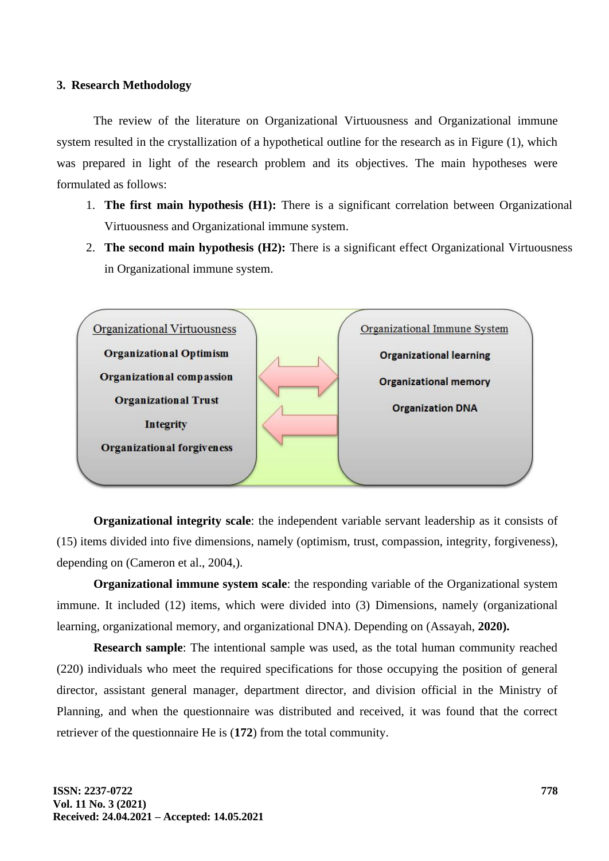#### **3. Research Methodology**

The review of the literature on Organizational Virtuousness and Organizational immune system resulted in the crystallization of a hypothetical outline for the research as in Figure (1), which was prepared in light of the research problem and its objectives. The main hypotheses were formulated as follows:

- 1. **The first main hypothesis (H1):** There is a significant correlation between Organizational Virtuousness and Organizational immune system.
- 2. **The second main hypothesis (H2):** There is a significant effect Organizational Virtuousness in Organizational immune system.



**Organizational integrity scale**: the independent variable servant leadership as it consists of (15) items divided into five dimensions, namely (optimism, trust, compassion, integrity, forgiveness), depending on (Cameron et al., 2004,).

**Organizational immune system scale**: the responding variable of the Organizational system immune. It included (12) items, which were divided into (3) Dimensions, namely (organizational learning, organizational memory, and organizational DNA). Depending on (Assayah, **2020).**

**Research sample**: The intentional sample was used, as the total human community reached (220) individuals who meet the required specifications for those occupying the position of general director, assistant general manager, department director, and division official in the Ministry of Planning, and when the questionnaire was distributed and received, it was found that the correct retriever of the questionnaire He is (**172**) from the total community.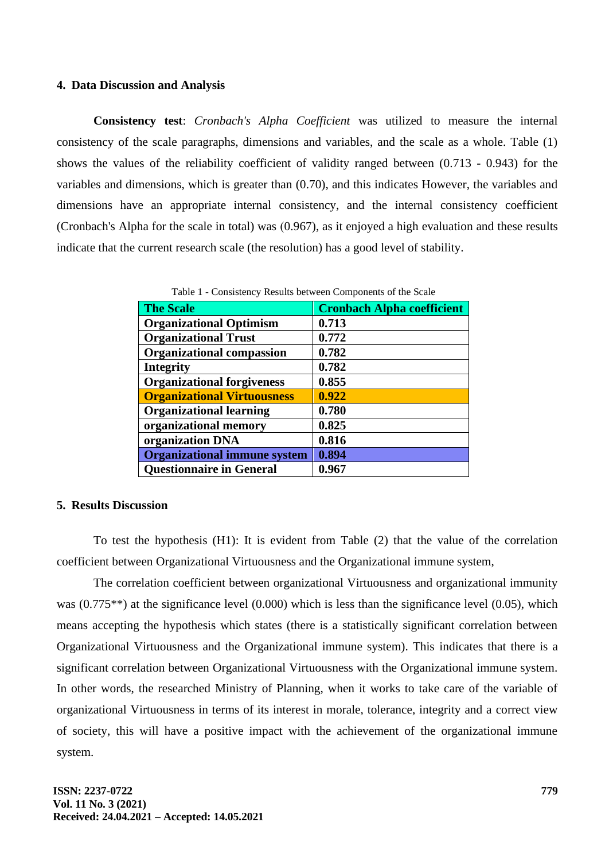#### **4. Data Discussion and Analysis**

**Consistency test**: *Cronbach's Alpha Coefficient* was utilized to measure the internal consistency of the scale paragraphs, dimensions and variables, and the scale as a whole. Table (1) shows the values of the reliability coefficient of validity ranged between (0.713 - 0.943) for the variables and dimensions, which is greater than (0.70), and this indicates However, the variables and dimensions have an appropriate internal consistency, and the internal consistency coefficient (Cronbach's Alpha for the scale in total) was  $(0.967)$ , as it enjoyed a high evaluation and these results indicate that the current research scale (the resolution) has a good level of stability.

| <b>The Scale</b>                    | <b>Cronbach Alpha coefficient</b> |
|-------------------------------------|-----------------------------------|
| <b>Organizational Optimism</b>      | 0.713                             |
| <b>Organizational Trust</b>         | 0.772                             |
| <b>Organizational compassion</b>    | 0.782                             |
| <b>Integrity</b>                    | 0.782                             |
| <b>Organizational forgiveness</b>   | 0.855                             |
| <b>Organizational Virtuousness</b>  | 0.922                             |
| <b>Organizational learning</b>      | 0.780                             |
| organizational memory               | 0.825                             |
| organization DNA                    | 0.816                             |
| <b>Organizational immune system</b> | 0.894                             |
| <b>Questionnaire in General</b>     | 0.967                             |

Table 1 - Consistency Results between Components of the Scale

#### **5. Results Discussion**

To test the hypothesis (H1): It is evident from Table (2) that the value of the correlation coefficient between Organizational Virtuousness and the Organizational immune system,

The correlation coefficient between organizational Virtuousness and organizational immunity was (0.775\*\*) at the significance level (0.000) which is less than the significance level (0.05), which means accepting the hypothesis which states (there is a statistically significant correlation between Organizational Virtuousness and the Organizational immune system). This indicates that there is a significant correlation between Organizational Virtuousness with the Organizational immune system. In other words, the researched Ministry of Planning, when it works to take care of the variable of organizational Virtuousness in terms of its interest in morale, tolerance, integrity and a correct view of society, this will have a positive impact with the achievement of the organizational immune system.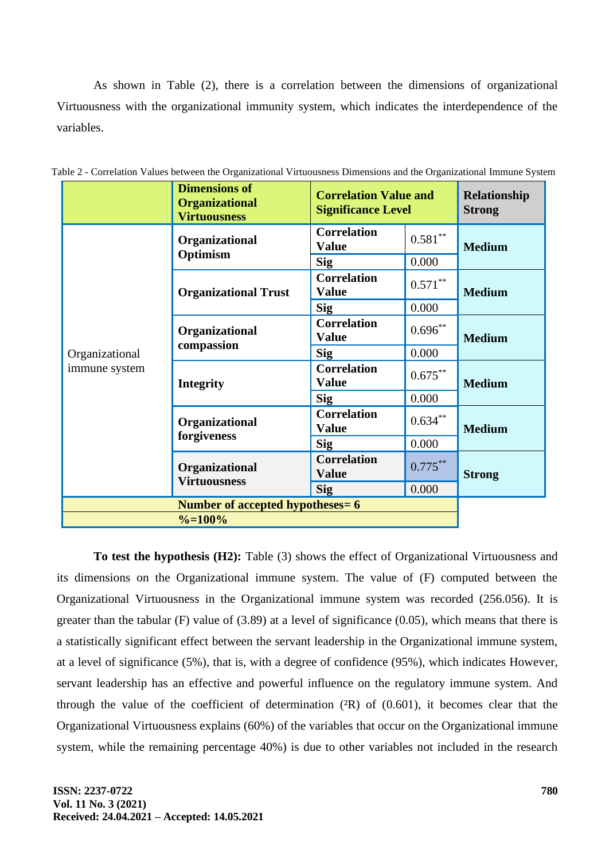As shown in Table (2), there is a correlation between the dimensions of organizational Virtuousness with the organizational immunity system, which indicates the interdependence of the variables.

|                                 | <b>Dimensions of</b><br><b>Organizational</b><br><b>Virtuousness</b> | <b>Correlation Value and</b><br><b>Significance Level</b> | Relationship<br><b>Strong</b> |               |  |
|---------------------------------|----------------------------------------------------------------------|-----------------------------------------------------------|-------------------------------|---------------|--|
| Organizational<br>immune system | Organizational<br>Optimism                                           | <b>Correlation</b><br><b>Value</b>                        | $0.581***$                    | <b>Medium</b> |  |
|                                 |                                                                      | <b>Sig</b>                                                | 0.000                         |               |  |
|                                 | <b>Organizational Trust</b>                                          | <b>Correlation</b><br><b>Value</b>                        | $0.571***$                    | <b>Medium</b> |  |
|                                 |                                                                      | <b>Sig</b>                                                | 0.000                         |               |  |
|                                 | Organizational<br>compassion                                         | <b>Correlation</b><br><b>Value</b>                        | $0.696***$                    | <b>Medium</b> |  |
|                                 |                                                                      | <b>Sig</b>                                                | 0.000                         |               |  |
|                                 | <b>Integrity</b>                                                     | <b>Correlation</b><br><b>Value</b>                        | $0.675***$                    | <b>Medium</b> |  |
|                                 |                                                                      | <b>Sig</b>                                                | 0.000                         |               |  |
|                                 | Organizational<br>forgiveness                                        | <b>Correlation</b><br><b>Value</b>                        | $0.634***$                    | <b>Medium</b> |  |
|                                 |                                                                      | <b>Sig</b>                                                | 0.000                         |               |  |
|                                 | Organizational<br><b>Virtuousness</b>                                | <b>Correlation</b><br><b>Value</b>                        | $0.775***$                    | <b>Strong</b> |  |
|                                 |                                                                      | <b>Sig</b>                                                | 0.000                         |               |  |
|                                 |                                                                      |                                                           |                               |               |  |
|                                 |                                                                      |                                                           |                               |               |  |

Table 2 - Correlation Values between the Organizational Virtuousness Dimensions and the Organizational Immune System

**To test the hypothesis (H2):** Table (3) shows the effect of Organizational Virtuousness and its dimensions on the Organizational immune system. The value of (F) computed between the Organizational Virtuousness in the Organizational immune system was recorded (256.056). It is greater than the tabular (F) value of (3.89) at a level of significance (0.05), which means that there is a statistically significant effect between the servant leadership in the Organizational immune system, at a level of significance (5%), that is, with a degree of confidence (95%), which indicates However, servant leadership has an effective and powerful influence on the regulatory immune system. And through the value of the coefficient of determination  $(2R)$  of  $(0.601)$ , it becomes clear that the Organizational Virtuousness explains (60%) of the variables that occur on the Organizational immune system, while the remaining percentage 40%) is due to other variables not included in the research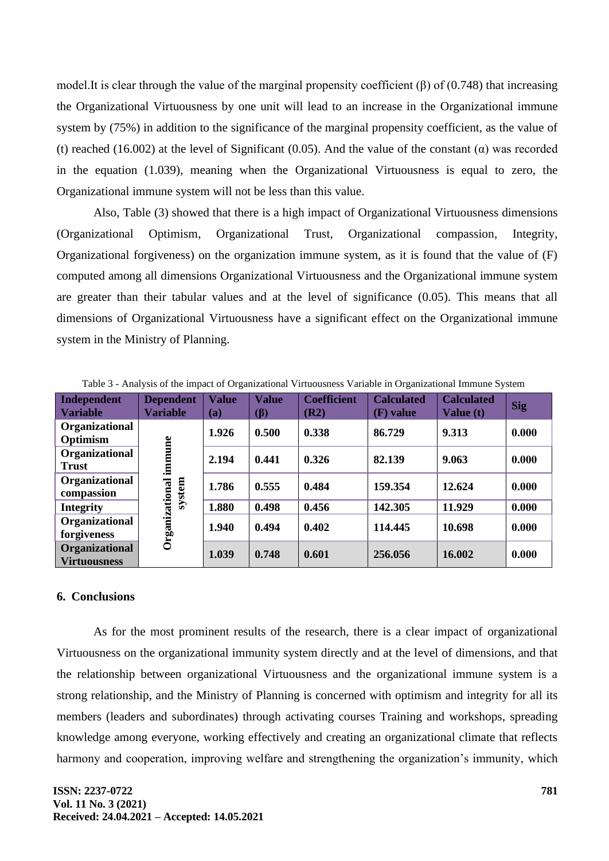model.It is clear through the value of the marginal propensity coefficient  $(\beta)$  of  $(0.748)$  that increasing the Organizational Virtuousness by one unit will lead to an increase in the Organizational immune system by (75%) in addition to the significance of the marginal propensity coefficient, as the value of (t) reached (16.002) at the level of Significant (0.05). And the value of the constant ( $\alpha$ ) was recorded in the equation (1.039), meaning when the Organizational Virtuousness is equal to zero, the Organizational immune system will not be less than this value.

Also, Table (3) showed that there is a high impact of Organizational Virtuousness dimensions (Organizational Optimism, Organizational Trust, Organizational compassion, Integrity, Organizational forgiveness) on the organization immune system, as it is found that the value of (F) computed among all dimensions Organizational Virtuousness and the Organizational immune system are greater than their tabular values and at the level of significance (0.05). This means that all dimensions of Organizational Virtuousness have a significant effect on the Organizational immune system in the Ministry of Planning.

| <b>Independent</b><br><b>Variable</b> | <b>Dependent</b><br><b>Variable</b> | <b>Value</b><br>(a) | <b>Value</b><br>$(\beta)$ | <b>Coefficient</b><br>(R2) | <b>Calculated</b><br>(F) value | <b>Calculated</b><br><b>Value (t)</b> | <b>Sig</b> |
|---------------------------------------|-------------------------------------|---------------------|---------------------------|----------------------------|--------------------------------|---------------------------------------|------------|
| Organizational<br>Optimism            | immune<br>system<br>Organizational  | 1.926               | 0.500                     | 0.338                      | 86.729                         | 9.313                                 | 0.000      |
| Organizational<br><b>Trust</b>        |                                     | 2.194               | 0.441                     | 0.326                      | 82.139                         | 9.063                                 | 0.000      |
| Organizational<br>compassion          |                                     | 1.786               | 0.555                     | 0.484                      | 159.354                        | 12.624                                | 0.000      |
| <b>Integrity</b>                      |                                     | 1.880               | 0.498                     | 0.456                      | 142.305                        | 11.929                                | 0.000      |
| Organizational<br>forgiveness         |                                     | 1.940               | 0.494                     | 0.402                      | 114.445                        | 10.698                                | 0.000      |
| Organizational<br><b>Virtuousness</b> |                                     | 1.039               | 0.748                     | 0.601                      | 256.056                        | 16.002                                | 0.000      |

Table 3 - Analysis of the impact of Organizational Virtuousness Variable in Organizational Immune System

### **6. Conclusions**

As for the most prominent results of the research, there is a clear impact of organizational Virtuousness on the organizational immunity system directly and at the level of dimensions, and that the relationship between organizational Virtuousness and the organizational immune system is a strong relationship, and the Ministry of Planning is concerned with optimism and integrity for all its members (leaders and subordinates) through activating courses Training and workshops, spreading knowledge among everyone, working effectively and creating an organizational climate that reflects harmony and cooperation, improving welfare and strengthening the organization's immunity, which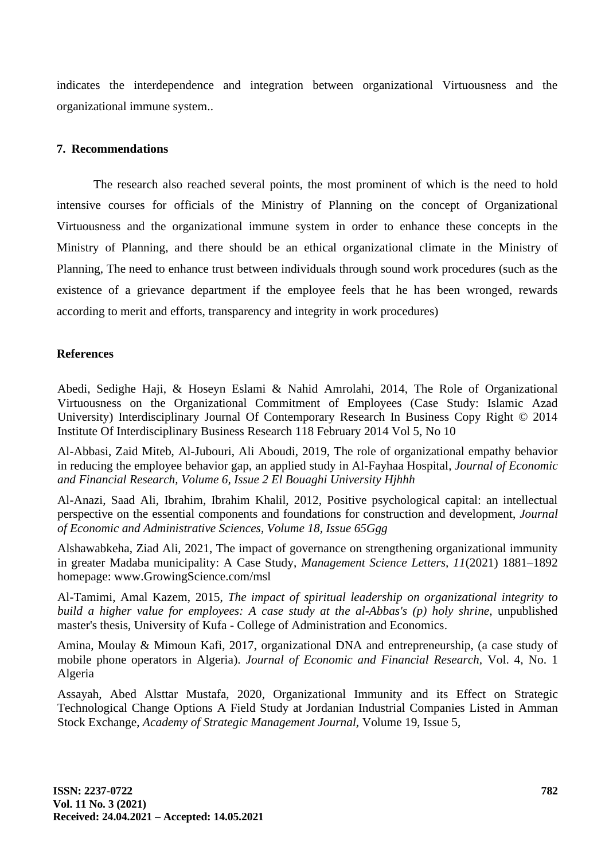indicates the interdependence and integration between organizational Virtuousness and the organizational immune system..

## **7. Recommendations**

The research also reached several points, the most prominent of which is the need to hold intensive courses for officials of the Ministry of Planning on the concept of Organizational Virtuousness and the organizational immune system in order to enhance these concepts in the Ministry of Planning, and there should be an ethical organizational climate in the Ministry of Planning, The need to enhance trust between individuals through sound work procedures (such as the existence of a grievance department if the employee feels that he has been wronged, rewards according to merit and efforts, transparency and integrity in work procedures)

## **References**

Abedi, Sedighe Haji, & Hoseyn Eslami & Nahid Amrolahi, 2014, The Role of Organizational Virtuousness on the Organizational Commitment of Employees (Case Study: Islamic Azad University) Interdisciplinary Journal Of Contemporary Research In Business Copy Right © 2014 Institute Of Interdisciplinary Business Research 118 February 2014 Vol 5, No 10

Al-Abbasi, Zaid Miteb, Al-Jubouri, Ali Aboudi, 2019, The role of organizational empathy behavior in reducing the employee behavior gap, an applied study in Al-Fayhaa Hospital, *Journal of Economic and Financial Research, Volume 6, Issue 2 El Bouaghi University Hjhhh*

Al-Anazi, Saad Ali, Ibrahim, Ibrahim Khalil, 2012, Positive psychological capital: an intellectual perspective on the essential components and foundations for construction and development, *Journal of Economic and Administrative Sciences, Volume 18, Issue 65Ggg*

Alshawabkeha, Ziad Ali, 2021, The impact of governance on strengthening organizational immunity in greater Madaba municipality: A Case Study, *Management Science Letters, 11*(2021) 1881–1892 homepage: www.GrowingScience.com/msl

Al-Tamimi, Amal Kazem, 2015, *The impact of spiritual leadership on organizational integrity to build a higher value for employees: A case study at the al-Abbas's (p) holy shrine,* unpublished master's thesis, University of Kufa - College of Administration and Economics.

Amina, Moulay & Mimoun Kafi, 2017, organizational DNA and entrepreneurship, (a case study of mobile phone operators in Algeria). *Journal of Economic and Financial Research,* Vol. 4, No. 1 Algeria

Assayah, Abed Alsttar Mustafa, 2020, Organizational Immunity and its Effect on Strategic Technological Change Options A Field Study at Jordanian Industrial Companies Listed in Amman Stock Exchange, *Academy of Strategic Management Journal,* Volume 19, Issue 5,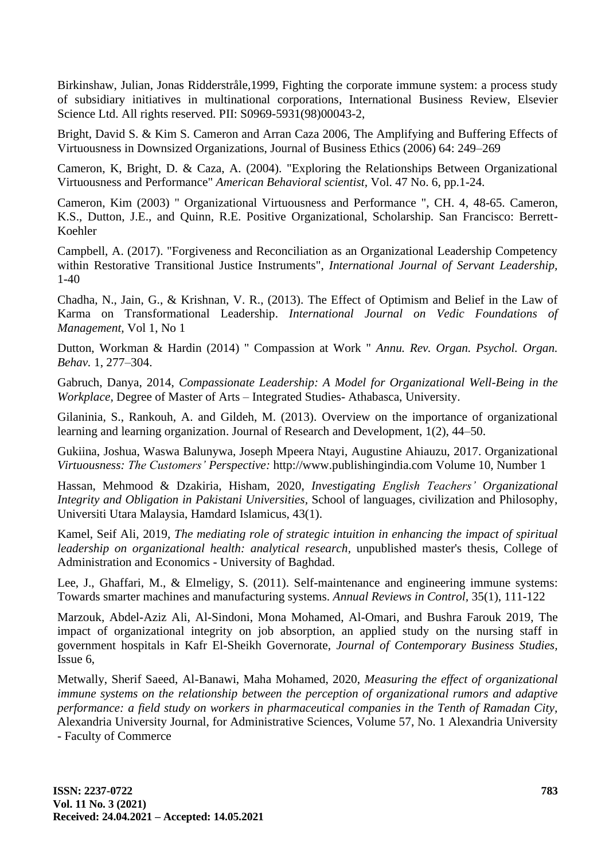Birkinshaw, Julian, Jonas Ridderstråle,1999, Fighting the corporate immune system: a process study of subsidiary initiatives in multinational corporations, International Business Review, Elsevier Science Ltd. All rights reserved. PII: S0969-5931(98)00043-2,

Bright, David S. & Kim S. Cameron and Arran Caza 2006, The Amplifying and Buffering Effects of Virtuousness in Downsized Organizations, Journal of Business Ethics (2006) 64: 249–269

Cameron, K, Bright, D. & Caza, A. (2004). "Exploring the Relationships Between Organizational Virtuousness and Performance" *American Behavioral scientist,* Vol. 47 No. 6, pp.1-24.

Cameron, Kim (2003) " Organizational Virtuousness and Performance ", CH. 4, 48-65. Cameron, K.S., Dutton, J.E., and Quinn, R.E. Positive Organizational, Scholarship. San Francisco: Berrett-Koehler

Campbell, A. (2017). "Forgiveness and Reconciliation as an Organizational Leadership Competency within Restorative Transitional Justice Instruments", *International Journal of Servant Leadership,* 1-40

Chadha, N., Jain, G., & Krishnan, V. R., (2013). The Effect of Optimism and Belief in the Law of Karma on Transformational Leadership. *International Journal on Vedic Foundations of Management,* Vol 1, No 1

Dutton, Workman & Hardin (2014) " Compassion at Work " *Annu. Rev. Organ. Psychol. Organ. Behav.* 1, 277–304.

Gabruch, Danya, 2014, *Compassionate Leadership: A Model for Organizational Well-Being in the Workplace,* Degree of Master of Arts – Integrated Studies- Athabasca, University.

Gilaninia, S., Rankouh, A. and Gildeh, M. (2013). Overview on the importance of organizational learning and learning organization. Journal of Research and Development, 1(2), 44–50.

Gukiina, Joshua, Waswa Balunywa, Joseph Mpeera Ntayi, Augustine Ahiauzu, 2017. Organizational *Virtuousness: The Customers' Perspective:* http://www.publishingindia.com Volume 10, Number 1

Hassan, Mehmood & Dzakiria, Hisham, 2020, *Investigating English Teachers' Organizational Integrity and Obligation in Pakistani Universities,* School of languages, civilization and Philosophy, Universiti Utara Malaysia, Hamdard Islamicus, 43(1).

Kamel, Seif Ali, 2019, *The mediating role of strategic intuition in enhancing the impact of spiritual leadership on organizational health: analytical research,* unpublished master's thesis, College of Administration and Economics - University of Baghdad.

Lee, J., Ghaffari, M., & Elmeligy, S. (2011). Self-maintenance and engineering immune systems: Towards smarter machines and manufacturing systems. *Annual Reviews in Control,* 35(1), 111-122

Marzouk, Abdel-Aziz Ali, Al-Sindoni, Mona Mohamed, Al-Omari, and Bushra Farouk 2019, The impact of organizational integrity on job absorption, an applied study on the nursing staff in government hospitals in Kafr El-Sheikh Governorate, *Journal of Contemporary Business Studies,*  Issue 6,

Metwally, Sherif Saeed, Al-Banawi, Maha Mohamed, 2020, *Measuring the effect of organizational immune systems on the relationship between the perception of organizational rumors and adaptive performance: a field study on workers in pharmaceutical companies in the Tenth of Ramadan City,* Alexandria University Journal, for Administrative Sciences, Volume 57, No. 1 Alexandria University - Faculty of Commerce